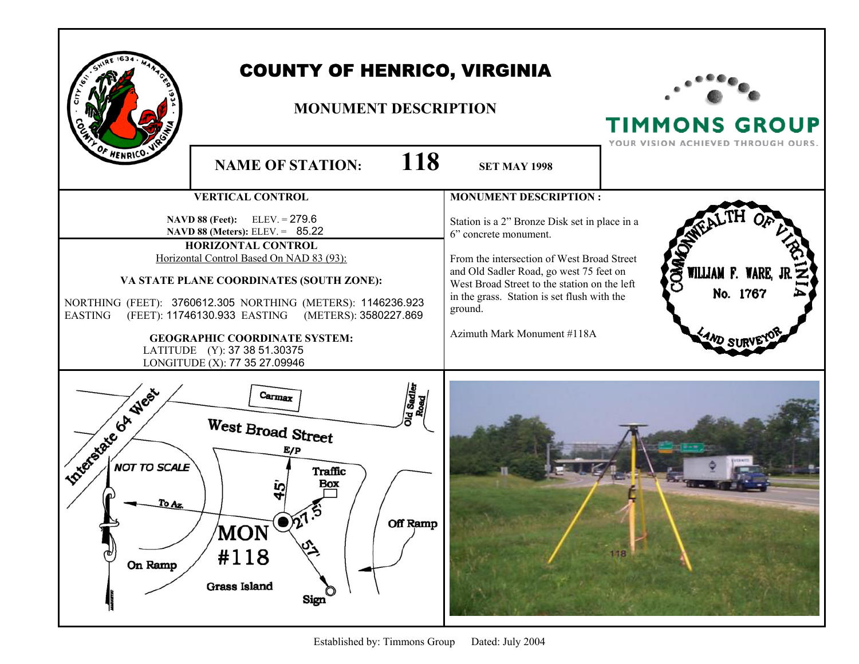|                                                               | <b>COUNTY OF HENRICO, VIRGINIA</b><br><b>MONUMENT DESCRIPTION</b>                                                                                                                                                                                                                                                                                                                                                                           |                                                                                                                                                                                                                                                                                                                                          | <b>TIMMONS GROUP</b><br>YOUR VISION ACHIEVED THROUGH OURS.    |
|---------------------------------------------------------------|---------------------------------------------------------------------------------------------------------------------------------------------------------------------------------------------------------------------------------------------------------------------------------------------------------------------------------------------------------------------------------------------------------------------------------------------|------------------------------------------------------------------------------------------------------------------------------------------------------------------------------------------------------------------------------------------------------------------------------------------------------------------------------------------|---------------------------------------------------------------|
| OF HENRICO.                                                   | <b>118</b><br><b>NAME OF STATION:</b>                                                                                                                                                                                                                                                                                                                                                                                                       | <b>SET MAY 1998</b>                                                                                                                                                                                                                                                                                                                      |                                                               |
| <b>EASTING</b>                                                | <b>VERTICAL CONTROL</b><br>$ELEV = 279.6$<br>NAVD 88 (Feet):<br>NAVD 88 (Meters): ELEV. = 85.22<br>HORIZONTAL CONTROL<br>Horizontal Control Based On NAD 83 (93):<br>VA STATE PLANE COORDINATES (SOUTH ZONE):<br>NORTHING (FEET): 3760612.305 NORTHING (METERS): 1146236.923<br>(FEET): 11746130.933 EASTING (METERS): 3580227.869<br><b>GEOGRAPHIC COORDINATE SYSTEM:</b><br>LATITUDE (Y): 37 38 51.30375<br>LONGITUDE (X): 77 35 27.09946 | <b>MONUMENT DESCRIPTION:</b><br>Station is a 2" Bronze Disk set in place in a<br>6" concrete monument.<br>From the intersection of West Broad Street<br>and Old Sadler Road, go west 75 feet on<br>West Broad Street to the station on the left<br>in the grass. Station is set flush with the<br>ground.<br>Azimuth Mark Monument #118A | <b>OMA</b><br>WILLIAM F. WARE, J<br>No. 1767<br><b>AND SU</b> |
| <b>Interstate GA West</b><br>NOT TO SCALE<br>To Az<br>On Ramp | Id Sadler<br>Carmax<br>Road<br>West Broad Street<br>E/P<br>Traffic<br>Box<br>īΰ<br>Off Ramp<br><b>MON</b><br>پې<br>#118<br><b>Grass Island</b><br><b>Sign</b>                                                                                                                                                                                                                                                                               |                                                                                                                                                                                                                                                                                                                                          |                                                               |

Established by: Timmons Group Dated: July 2004